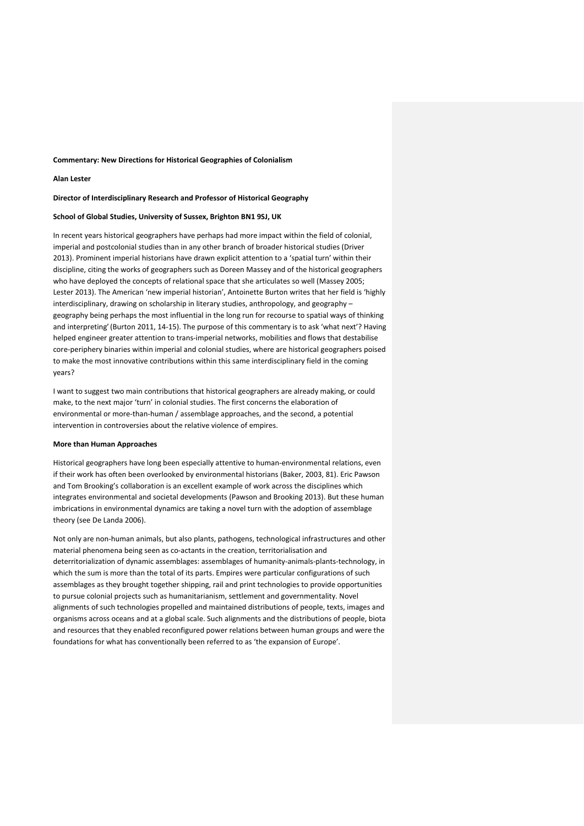#### **Commentary: New Directions for Historical Geographies of Colonialism**

## **Alan Lester**

# **Director of Interdisciplinary Research and Professor of Historical Geography**

#### **School of Global Studies, University of Sussex, Brighton BN1 9SJ, UK**

In recent years historical geographers have perhaps had more impact within the field of colonial, imperial and postcolonial studies than in any other branch of broader historical studies (Driver 2013). Prominent imperial historians have drawn explicit attention to a 'spatial turn' within their discipline, citing the works of geographers such as Doreen Massey and of the historical geographers who have deployed the concepts of relational space that she articulates so well (Massey 2005; Lester 2013). The American 'new imperial historian', Antoinette Burton writes that her field is 'highly interdisciplinary, drawing on scholarship in literary studies, anthropology, and geography – geography being perhaps the most influential in the long run for recourse to spatial ways of thinking and interpreting'(Burton 2011, 14-15). The purpose of this commentary is to ask 'what next'? Having helped engineer greater attention to trans-imperial networks, mobilities and flows that destabilise core-periphery binaries within imperial and colonial studies, where are historical geographers poised to make the most innovative contributions within this same interdisciplinary field in the coming years?

I want to suggest two main contributions that historical geographers are already making, or could make, to the next major 'turn' in colonial studies. The first concerns the elaboration of environmental or more-than-human / assemblage approaches, and the second, a potential intervention in controversies about the relative violence of empires.

#### **More than Human Approaches**

Historical geographers have long been especially attentive to human-environmental relations, even if their work has often been overlooked by environmental historians (Baker, 2003, 81). Eric Pawson and Tom Brooking's collaboration is an excellent example of work across the disciplines which integrates environmental and societal developments (Pawson and Brooking 2013). But these human imbrications in environmental dynamics are taking a novel turn with the adoption of assemblage theory (see De Landa 2006).

Not only are non-human animals, but also plants, pathogens, technological infrastructures and other material phenomena being seen as co-actants in the creation, territorialisation and deterritorialization of dynamic assemblages: assemblages of humanity-animals-plants-technology, in which the sum is more than the total of its parts. Empires were particular configurations of such assemblages as they brought together shipping, rail and print technologies to provide opportunities to pursue colonial projects such as humanitarianism, settlement and governmentality. Novel alignments of such technologies propelled and maintained distributions of people, texts, images and organisms across oceans and at a global scale. Such alignments and the distributions of people, biota and resources that they enabled reconfigured power relations between human groups and were the foundations for what has conventionally been referred to as 'the expansion of Europe'.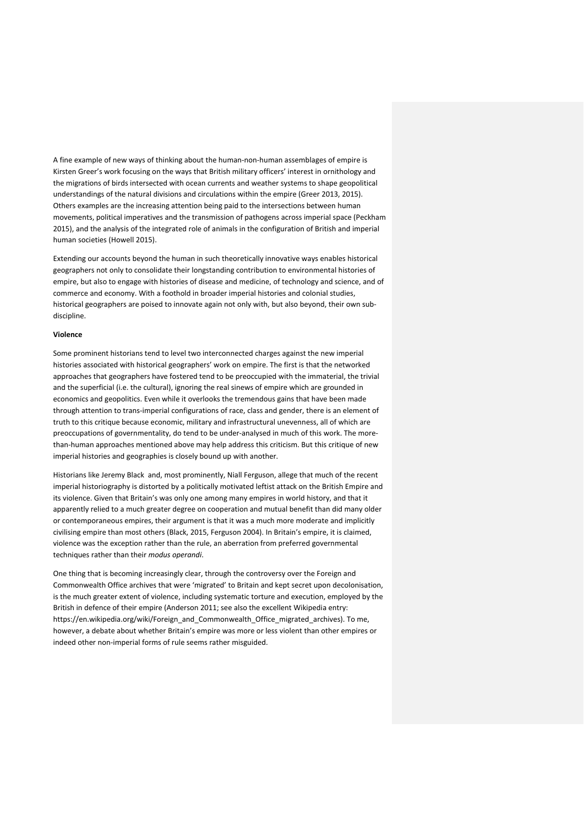A fine example of new ways of thinking about the human-non-human assemblages of empire is Kirsten Greer's work focusing on the ways that British military officers' interest in ornithology and the migrations of birds intersected with ocean currents and weather systems to shape geopolitical understandings of the natural divisions and circulations within the empire (Greer 2013, 2015). Others examples are the increasing attention being paid to the intersections between human movements, political imperatives and the transmission of pathogens across imperial space (Peckham 2015), and the analysis of the integrated role of animals in the configuration of British and imperial human societies (Howell 2015).

Extending our accounts beyond the human in such theoretically innovative ways enables historical geographers not only to consolidate their longstanding contribution to environmental histories of empire, but also to engage with histories of disease and medicine, of technology and science, and of commerce and economy. With a foothold in broader imperial histories and colonial studies, historical geographers are poised to innovate again not only with, but also beyond, their own subdiscipline.

### **Violence**

Some prominent historians tend to level two interconnected charges against the new imperial histories associated with historical geographers' work on empire. The first is that the networked approaches that geographers have fostered tend to be preoccupied with the immaterial, the trivial and the superficial (i.e. the cultural), ignoring the real sinews of empire which are grounded in economics and geopolitics. Even while it overlooks the tremendous gains that have been made through attention to trans-imperial configurations of race, class and gender, there is an element of truth to this critique because economic, military and infrastructural unevenness, all of which are preoccupations of governmentality, do tend to be under-analysed in much of this work. The morethan-human approaches mentioned above may help address this criticism. But this critique of new imperial histories and geographies is closely bound up with another.

Historians like Jeremy Black and, most prominently, Niall Ferguson, allege that much of the recent imperial historiography is distorted by a politically motivated leftist attack on the British Empire and its violence. Given that Britain's was only one among many empires in world history, and that it apparently relied to a much greater degree on cooperation and mutual benefit than did many older or contemporaneous empires, their argument is that it was a much more moderate and implicitly civilising empire than most others (Black, 2015, Ferguson 2004). In Britain's empire, it is claimed, violence was the exception rather than the rule, an aberration from preferred governmental techniques rather than their *modus operandi*.

One thing that is becoming increasingly clear, through the controversy over the Foreign and Commonwealth Office archives that were 'migrated' to Britain and kept secret upon decolonisation, is the much greater extent of violence, including systematic torture and execution, employed by the British in defence of their empire (Anderson 2011; see also the excellent Wikipedia entry: https://en.wikipedia.org/wiki/Foreign\_and\_Commonwealth\_Office\_migrated\_archives). To me, however, a debate about whether Britain's empire was more or less violent than other empires or indeed other non-imperial forms of rule seems rather misguided.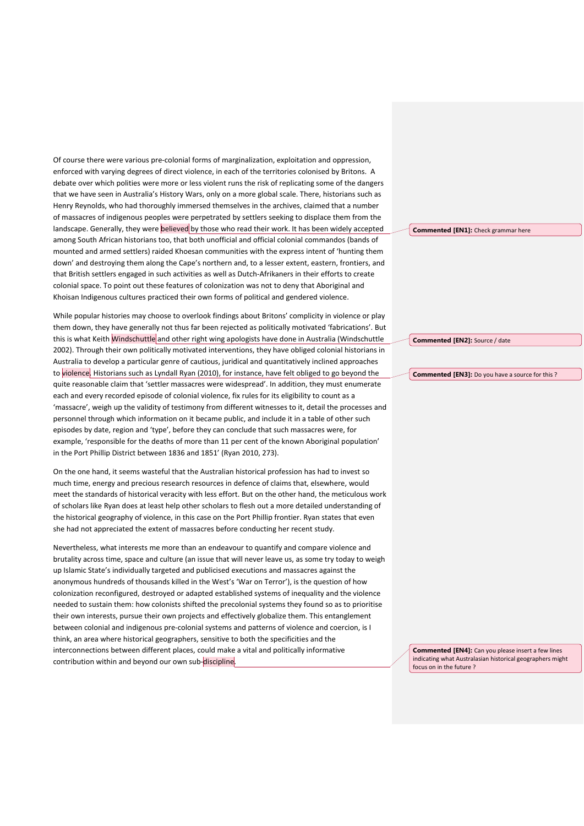Of course there were various pre-colonial forms of marginalization, exploitation and oppression, enforced with varying degrees of direct violence, in each of the territories colonised by Britons. A debate over which polities were more or less violent runs the risk of replicating some of the dangers that we have seen in Australia's History Wars, only on a more global scale. There, historians such as Henry Reynolds, who had thoroughly immersed themselves in the archives, claimed that a number of massacres of indigenous peoples were perpetrated by settlers seeking to displace them from the landscape. Generally, they were **believed** by those who read their work. It has been widely accepted among South African historians too, that both unofficial and official colonial commandos (bands of mounted and armed settlers) raided Khoesan communities with the express intent of 'hunting them down' and destroying them along the Cape's northern and, to a lesser extent, eastern, frontiers, and that British settlers engaged in such activities as well as Dutch-Afrikaners in their efforts to create colonial space. To point out these features of colonization was not to deny that Aboriginal and Khoisan Indigenous cultures practiced their own forms of political and gendered violence.

While popular histories may choose to overlook findings about Britons' complicity in violence or play them down, they have generally not thus far been rejected as politically motivated 'fabrications'. But this is what Keith Windschuttle and other right wing apologists have done in Australia (Windschuttle 2002). Through their own politically motivated interventions, they have obliged colonial historians in Australia to develop a particular genre of cautious, juridical and quantitatively inclined approaches to violence. Historians such as Lyndall Ryan (2010), for instance, have felt obliged to go beyond the quite reasonable claim that 'settler massacres were widespread'. In addition, they must enumerate each and every recorded episode of colonial violence, fix rules for its eligibility to count as a 'massacre', weigh up the validity of testimony from different witnesses to it, detail the processes and personnel through which information on it became public, and include it in a table of other such episodes by date, region and 'type', before they can conclude that such massacres were, for example, 'responsible for the deaths of more than 11 per cent of the known Aboriginal population' in the Port Phillip District between 1836 and 1851' (Ryan 2010, 273).

On the one hand, it seems wasteful that the Australian historical profession has had to invest so much time, energy and precious research resources in defence of claims that, elsewhere, would meet the standards of historical veracity with less effort. But on the other hand, the meticulous work of scholars like Ryan does at least help other scholars to flesh out a more detailed understanding of the historical geography of violence, in this case on the Port Phillip frontier. Ryan states that even she had not appreciated the extent of massacres before conducting her recent study.

Nevertheless, what interests me more than an endeavour to quantify and compare violence and brutality across time, space and culture (an issue that will never leave us, as some try today to weigh up Islamic State's individually targeted and publicised executions and massacres against the anonymous hundreds of thousands killed in the West's 'War on Terror'), is the question of how colonization reconfigured, destroyed or adapted established systems of inequality and the violence needed to sustain them: how colonists shifted the precolonial systems they found so as to prioritise their own interests, pursue their own projects and effectively globalize them. This entanglement between colonial and indigenous pre-colonial systems and patterns of violence and coercion, is I think, an area where historical geographers, sensitive to both the specificities and the interconnections between different places, could make a vital and politically informative contribution within and beyond our own sub-discipline.

**Commented [EN1]:** Check grammar here

**Commented [EN2]:** Source / date

**Commented [EN3]:** Do you have a source for this ?

**Commented [EN4]:** Can you please insert a few lines indicating what Australasian historical geographers might focus on in the future ?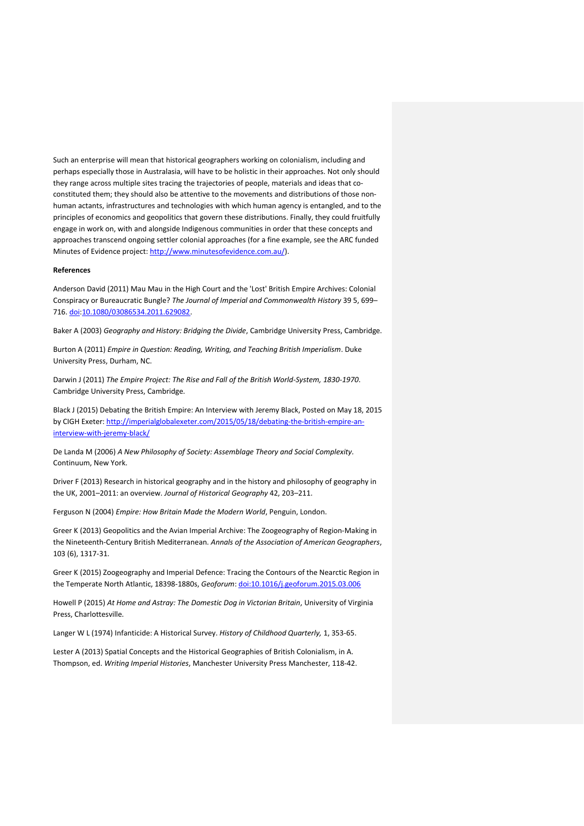Such an enterprise will mean that historical geographers working on colonialism, including and perhaps especially those in Australasia, will have to be holistic in their approaches. Not only should they range across multiple sites tracing the trajectories of people, materials and ideas that coconstituted them; they should also be attentive to the movements and distributions of those nonhuman actants, infrastructures and technologies with which human agency is entangled, and to the principles of economics and geopolitics that govern these distributions. Finally, they could fruitfully engage in work on, with and alongside Indigenous communities in order that these concepts and approaches transcend ongoing settler colonial approaches (for a fine example, see the ARC funded Minutes of Evidence project[: http://www.minutesofevidence.com.au/\)](http://www.minutesofevidence.com.au/).

## **References**

Anderson David (2011) Mau Mau in the High Court and the 'Lost' British Empire Archives: Colonial Conspiracy or Bureaucratic Bungle? *The Journal of Imperial and Commonwealth History* 39 5, 699– 716. [doi:](https://en.wikipedia.org/wiki/Digital_object_identifier)[10.1080/03086534.2011.629082.](https://dx.doi.org/10.1080%2F03086534.2011.629082)

Baker A (2003) *Geography and History: Bridging the Divide*, Cambridge University Press, Cambridge.

Burton A (2011) *Empire in Question: Reading, Writing, and Teaching British Imperialism*. Duke University Press, Durham, NC.

Darwin J (2011) *The Empire Project: The Rise and Fall of the British World-System, 1830-1970*. Cambridge University Press, Cambridge.

Black J (2015) Debating the British Empire: An Interview with Jeremy Black, Posted on May 18, 2015 by CIGH Exeter: [http://imperialglobalexeter.com/2015/05/18/debating-the-british-empire-an](http://imperialglobalexeter.com/2015/05/18/debating-the-british-empire-an-interview-with-jeremy-black/)[interview-with-jeremy-black/](http://imperialglobalexeter.com/2015/05/18/debating-the-british-empire-an-interview-with-jeremy-black/)

De Landa M (2006) *A New Philosophy of Society: Assemblage Theory and Social Complexity.* Continuum, New York.

Driver F (2013) Research in historical geography and in the history and philosophy of geography in the UK, 2001–2011: an overview. *Journal of Historical Geography* 42, 203–211.

Ferguson N (2004) *Empire: How Britain Made the Modern World*, Penguin, London.

Greer K (2013) Geopolitics and the Avian Imperial Archive: The Zoogeography of Region-Making in the Nineteenth-Century British Mediterranean. *Annals of the Association of American Geographers*, 103 (6), 1317-31.

Greer K (2015) Zoogeography and Imperial Defence: Tracing the Contours of the Nearctic Region in the Temperate North Atlantic, 18398-1880s, *Geoforum*: [doi:10.1016/j.geoforum.2015.03.006](http://dx.doi.org/10.1016/j.geoforum.2015.03.006)

Howell P (2015) *At Home and Astray: The Domestic Dog in Victorian Britain*, University of Virginia Press, Charlottesville.

Langer W L (1974) Infanticide: A Historical Survey. *History of Childhood Quarterly,* 1, 353-65.

Lester A (2013) Spatial Concepts and the Historical Geographies of British Colonialism, in A. Thompson, ed. *Writing Imperial Histories*, Manchester University Press Manchester, 118-42.